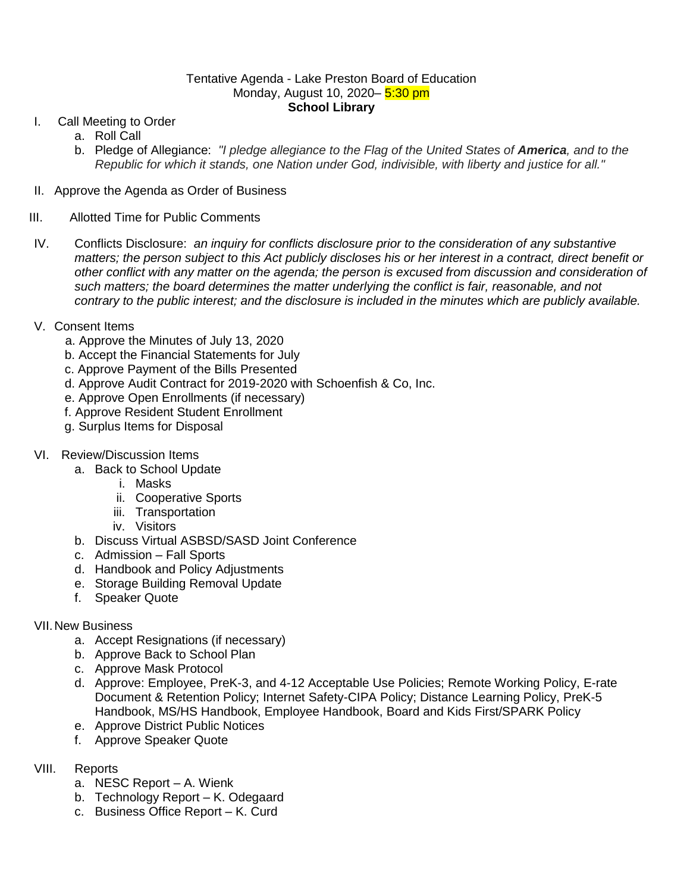## Tentative Agenda - Lake Preston Board of Education Monday, August 10, 2020– 5:30 pm **School Library**

- I. Call Meeting to Order
	- a. Roll Call
	- b. Pledge of Allegiance: *"I pledge allegiance to the Flag of the United States of America, and to the Republic for which it stands, one Nation under God, indivisible, with liberty and justice for all."*
- II. Approve the Agenda as Order of Business
- III. Allotted Time for Public Comments
- IV. Conflicts Disclosure: *an inquiry for conflicts disclosure prior to the consideration of any substantive matters; the person subject to this Act publicly discloses his or her interest in a contract, direct benefit or other conflict with any matter on the agenda; the person is excused from discussion and consideration of such matters; the board determines the matter underlying the conflict is fair, reasonable, and not contrary to the public interest; and the disclosure is included in the minutes which are publicly available.*
- V. Consent Items
	- a. Approve the Minutes of July 13, 2020
	- b. Accept the Financial Statements for July
	- c. Approve Payment of the Bills Presented
	- d. Approve Audit Contract for 2019-2020 with Schoenfish & Co, Inc.
	- e. Approve Open Enrollments (if necessary)
	- f. Approve Resident Student Enrollment
	- g. Surplus Items for Disposal
- VI. Review/Discussion Items
	- a. Back to School Update
		- i. Masks
		- ii. Cooperative Sports
		- iii. Transportation
		- iv. Visitors
	- b. Discuss Virtual ASBSD/SASD Joint Conference
	- c. Admission Fall Sports
	- d. Handbook and Policy Adjustments
	- e. Storage Building Removal Update
	- f. Speaker Quote

## VII.New Business

- a. Accept Resignations (if necessary)
- b. Approve Back to School Plan
- c. Approve Mask Protocol
- d. Approve: Employee, PreK-3, and 4-12 Acceptable Use Policies; Remote Working Policy, E-rate Document & Retention Policy; Internet Safety-CIPA Policy; Distance Learning Policy, PreK-5 Handbook, MS/HS Handbook, Employee Handbook, Board and Kids First/SPARK Policy
- e. Approve District Public Notices
- f. Approve Speaker Quote
- VIII. Reports
	- a. NESC Report A. Wienk
	- b. Technology Report K. Odegaard
	- c. Business Office Report K. Curd